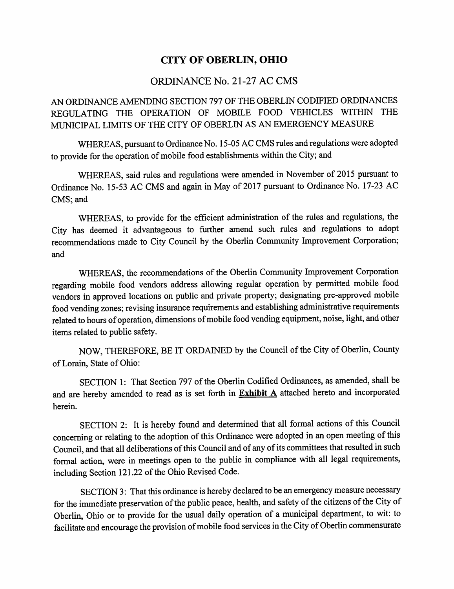# **CITY OF OBERLIN, OHIO**

### ORDINANCE No. 21-27 AC CMS

AN ORDINANCE AMENDING SECTION 797 OF THE OBERLIN CODIFIED ORDINANCES REGULATING THE OPERATION OF MOBILE FOOD VEHICLES WITHIN THE MUNICIPAL LIMITS OF THE CITY OF OBERLIN AS AN EMERGENCY MEASURE

WHEREAS, pursuant to Ordinance No. 15-05 AC CMS rules and regulations were adopted to provide for the operation of mobile food establishments within the City; and

WHEREAS, said rules and regulations were amended in November of 2015 pursuant to Ordinance No. 15-53 AC CMS and again in May of 2017 pursuant to Ordinance No. 17-23 AC CMS; and

WHEREAS, to provide for the efficient administration of the rules and regulations, the City has deemed it advantageous to further amend such rules and regulations to adopt recommendations made to City Council by the Oberlin Community Improvement Corporation; and

WHEREAS, the recommendations of the Oberlin Community Improvement Corporation regarding mobile food vendors address allowing regular operation by permitted mobile food vendors in approved locations on public and private property; designating pre-approved mobile food vending zones; revising insurance requirements and establishing administrative requirements related to hours of operation, dimensions of mobile food vending equipment, noise, light, and other items related to public safety.

NOW, THEREFORE, BE IT ORDAINED by the Council of the City of Oberlin, County of Lorain, State of Ohio:

SECTION 1: That Section 797 of the Oberlin Codified Ordinances, as amended, shall be and are hereby amended to read as is set forth in **Exhibit A** attached hereto and incorporated herein.

SECTION 2: It is hereby found and determined that all formal actions of this Council concerning or relating to the adoption of this Ordinance were adopted in an open meeting of this Council, and that all deliberations of this Council and of any of its committees that resulted in such formal action, were in meetings open to the public in compliance with all legal requirements, including Section 121.22 of the Ohio Revised Code.

SECTION 3: That this ordinance is hereby declared to be an emergency measure necessary for the immediate preservation of the public peace, health, and safety of the citizens of the City of Oberlin, Ohio or to provide for the usual daily operation of a municipal department, to wit: to facilitate and encourage the provision of mobile food services in the City of Oberlin commensurate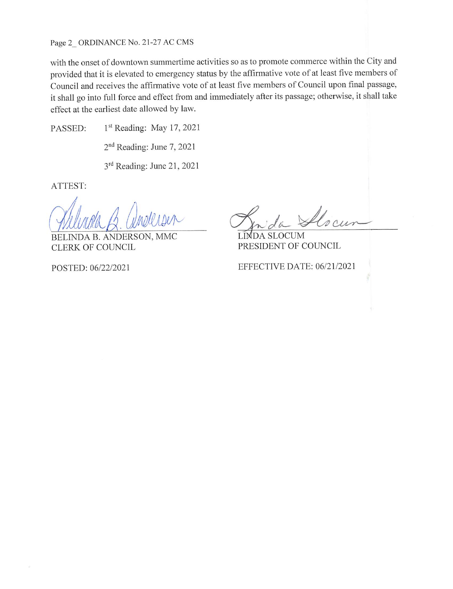Page 2 ORDINANCE No. 21-27 AC CMS

with the onset of downtown summertime activities so as to promote commerce within the City and provided that it is elevated to emergency status by the affirmative vote of at least five members of Council and receives the affirmative vote of at least five members of Council upon final passage, it shall go into full force and effect from and immediately after its passage; otherwise, it shall take effect at the earliest date allowed by law.

1<sup>st</sup> Reading: May 17, 2021 PASSED:

2<sup>nd</sup> Reading: June 7, 2021

3rd Reading: June 21, 2021

ATTEST:

INDA B. ANDERSON, MMC **CLERK OF COUNCIL** 

POSTED: 06/22/2021

**LIMDA SLOCUM** PRESIDENT OF COUNCIL

EFFECTIVE DATE: 06/21/2021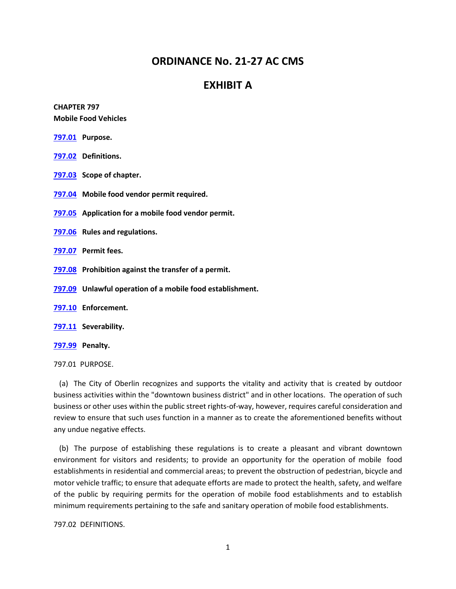## **ORDINANCE No. 21-27 AC CMS**

### **EXHIBIT A**

### **CHAPTER 797 Mobile Food Vehicles**

- **[797.01](https://codelibrary.amlegal.com/codes/oberlin/latest/oberlin_oh/0-0-0-29219#JD_797.01) Purpose.**
- **[797.02](https://codelibrary.amlegal.com/codes/oberlin/latest/oberlin_oh/0-0-0-29225#JD_797.02) Definitions.**
- **[797.03](https://codelibrary.amlegal.com/codes/oberlin/latest/oberlin_oh/0-0-0-29243#JD_797.03) Scope of chapter.**
- **[797.04](https://codelibrary.amlegal.com/codes/oberlin/latest/oberlin_oh/0-0-0-29246#JD_797.04) Mobile food vendor permit required.**
- **[797.05](https://codelibrary.amlegal.com/codes/oberlin/latest/oberlin_oh/0-0-0-29258#JD_797.05) Application for a mobile food vendor permit.**
- **[797.06](https://codelibrary.amlegal.com/codes/oberlin/latest/oberlin_oh/0-0-0-906#JD_V) Rules and regulations.**
- **[797.07](https://codelibrary.amlegal.com/codes/oberlin/latest/oberlin_oh/0-0-0-906#JD_V) Permit fees.**
- **[797.08](https://codelibrary.amlegal.com/codes/oberlin/latest/oberlin_oh/0-0-0-29304#JD_797.08) Prohibition against the transfer of a permit.**
- **[797.09](https://codelibrary.amlegal.com/codes/oberlin/latest/oberlin_oh/0-0-0-29315#JD_797.09) Unlawful operation of a mobile food establishment.**
- **[797.10](https://codelibrary.amlegal.com/codes/oberlin/latest/oberlin_oh/0-0-0-29323#JD_797.10) Enforcement.**
- **[797.11](https://codelibrary.amlegal.com/codes/oberlin/latest/oberlin_oh/0-0-0-29331#JD_797.11) Severability.**
- **[797.99](https://codelibrary.amlegal.com/codes/oberlin/latest/oberlin_oh/0-0-0-906#JD_V) Penalty.**

797.01 PURPOSE.

 (a) The City of Oberlin recognizes and supports the vitality and activity that is created by outdoor business activities within the "downtown business district" and in other locations. The operation of such business or other uses within the public street rights-of-way, however, requires careful consideration and review to ensure that such uses function in a manner as to create the aforementioned benefits without any undue negative effects.

 (b) The purpose of establishing these regulations is to create a pleasant and vibrant downtown environment for visitors and residents; to provide an opportunity for the operation of mobile food establishments in residential and commercial areas; to prevent the obstruction of pedestrian, bicycle and motor vehicle traffic; to ensure that adequate efforts are made to protect the health, safety, and welfare of the public by requiring permits for the operation of mobile food establishments and to establish minimum requirements pertaining to the safe and sanitary operation of mobile food establishments.

797.02 DEFINITIONS.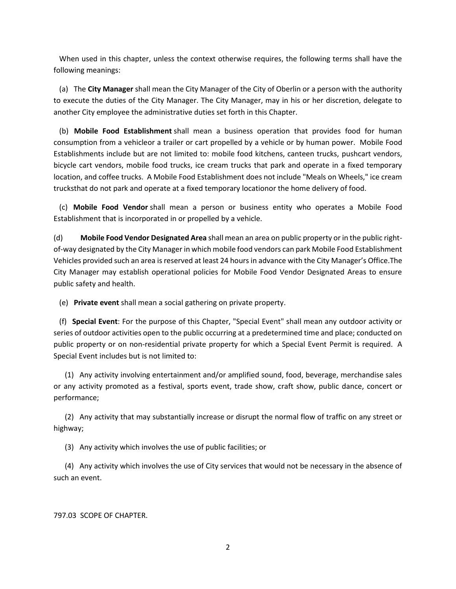When used in this chapter, unless the context otherwise requires, the following terms shall have the following meanings:

 (a) The **City Manager** shall mean the City Manager of the City of Oberlin or a person with the authority to execute the duties of the City Manager. The City Manager, may in his or her discretion, delegate to another City employee the administrative duties set forth in this Chapter.

 (b) **Mobile Food Establishment** shall mean a business operation that provides food for human consumption from a vehicleor a trailer or cart propelled by a vehicle or by human power. Mobile Food Establishments include but are not limited to: mobile food kitchens, canteen trucks, pushcart vendors, bicycle cart vendors, mobile food trucks, ice cream trucks that park and operate in a fixed temporary location, and coffee trucks. A Mobile Food Establishment does not include "Meals on Wheels," ice cream trucksthat do not park and operate at a fixed temporary locationor the home delivery of food.

 (c) **Mobile Food Vendor** shall mean a person or business entity who operates a Mobile Food Establishment that is incorporated in or propelled by a vehicle.

(d) **Mobile Food Vendor Designated Area** shall mean an area on public property or in the public rightof-way designated by the City Manager in which mobile food vendors can park Mobile Food Establishment Vehicles provided such an area is reserved at least 24 hours in advance with the City Manager's Office.The City Manager may establish operational policies for Mobile Food Vendor Designated Areas to ensure public safety and health.

(e) **Private event** shall mean a social gathering on private property.

 (f) **Special Event**: For the purpose of this Chapter, "Special Event" shall mean any outdoor activity or series of outdoor activities open to the public occurring at a predetermined time and place; conducted on public property or on non-residential private property for which a Special Event Permit is required. A Special Event includes but is not limited to:

 (1) Any activity involving entertainment and/or amplified sound, food, beverage, merchandise sales or any activity promoted as a festival, sports event, trade show, craft show, public dance, concert or performance;

 (2) Any activity that may substantially increase or disrupt the normal flow of traffic on any street or highway;

(3) Any activity which involves the use of public facilities; or

 (4) Any activity which involves the use of City services that would not be necessary in the absence of such an event.

797.03 SCOPE OF CHAPTER.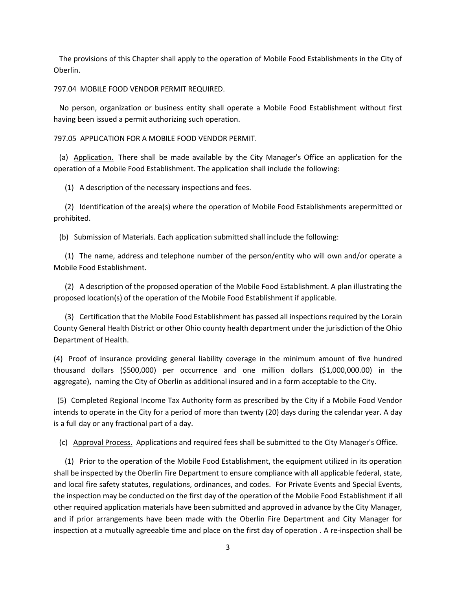The provisions of this Chapter shall apply to the operation of Mobile Food Establishments in the City of Oberlin.

797.04 MOBILE FOOD VENDOR PERMIT REQUIRED.

 No person, organization or business entity shall operate a Mobile Food Establishment without first having been issued a permit authorizing such operation.

797.05 APPLICATION FOR A MOBILE FOOD VENDOR PERMIT.

 (a) Application. There shall be made available by the City Manager's Office an application for the operation of a Mobile Food Establishment. The application shall include the following:

(1) A description of the necessary inspections and fees.

 (2) Identification of the area(s) where the operation of Mobile Food Establishments arepermitted or prohibited.

(b) Submission of Materials. Each application submitted shall include the following:

 (1) The name, address and telephone number of the person/entity who will own and/or operate a Mobile Food Establishment.

 (2) A description of the proposed operation of the Mobile Food Establishment. A plan illustrating the proposed location(s) of the operation of the Mobile Food Establishment if applicable.

 (3) Certification that the Mobile Food Establishment has passed all inspections required by the Lorain County General Health District or other Ohio county health department under the jurisdiction of the Ohio Department of Health.

(4) Proof of insurance providing general liability coverage in the minimum amount of five hundred thousand dollars (\$500,000) per occurrence and one million dollars (\$1,000,000.00) in the aggregate), naming the City of Oberlin as additional insured and in a form acceptable to the City.

 (5) Completed Regional Income Tax Authority form as prescribed by the City if a Mobile Food Vendor intends to operate in the City for a period of more than twenty (20) days during the calendar year. A day is a full day or any fractional part of a day.

(c) Approval Process. Applications and required fees shall be submitted to the City Manager's Office.

 (1) Prior to the operation of the Mobile Food Establishment, the equipment utilized in its operation shall be inspected by the Oberlin Fire Department to ensure compliance with all applicable federal, state, and local fire safety statutes, regulations, ordinances, and codes. For Private Events and Special Events, the inspection may be conducted on the first day of the operation of the Mobile Food Establishment if all other required application materials have been submitted and approved in advance by the City Manager, and if prior arrangements have been made with the Oberlin Fire Department and City Manager for inspection at a mutually agreeable time and place on the first day of operation . A re-inspection shall be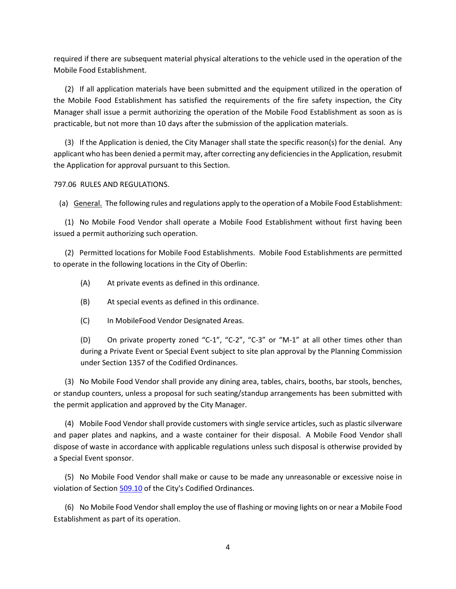required if there are subsequent material physical alterations to the vehicle used in the operation of the Mobile Food Establishment.

 (2) If all application materials have been submitted and the equipment utilized in the operation of the Mobile Food Establishment has satisfied the requirements of the fire safety inspection, the City Manager shall issue a permit authorizing the operation of the Mobile Food Establishment as soon as is practicable, but not more than 10 days after the submission of the application materials.

 (3) If the Application is denied, the City Manager shall state the specific reason(s) for the denial. Any applicant who has been denied a permit may, after correcting any deficiencies in the Application, resubmit the Application for approval pursuant to this Section.

797.06 RULES AND REGULATIONS.

(a) General. The following rules and regulations apply to the operation of a Mobile Food Establishment:

 (1) No Mobile Food Vendor shall operate a Mobile Food Establishment without first having been issued a permit authorizing such operation.

 (2) Permitted locations for Mobile Food Establishments. Mobile Food Establishments are permitted to operate in the following locations in the City of Oberlin:

- (A) At private events as defined in this ordinance.
- (B) At special events as defined in this ordinance.
- (C) In MobileFood Vendor Designated Areas.

(D) On private property zoned "C-1", "C-2", "C-3" or "M-1" at all other times other than during a Private Event or Special Event subject to site plan approval by the Planning Commission under Section 1357 of the Codified Ordinances.

 (3) No Mobile Food Vendor shall provide any dining area, tables, chairs, booths, bar stools, benches, or standup counters, unless a proposal for such seating/standup arrangements has been submitted with the permit application and approved by the City Manager.

 (4) Mobile Food Vendor shall provide customers with single service articles, such as plastic silverware and paper plates and napkins, and a waste container for their disposal. A Mobile Food Vendor shall dispose of waste in accordance with applicable regulations unless such disposal is otherwise provided by a Special Event sponsor.

 (5) No Mobile Food Vendor shall make or cause to be made any unreasonable or excessive noise in violation of Section [509.10](https://codelibrary.amlegal.com/codes/oberlin/latest/oberlin_oh/0-0-0-8087#JD_509.10) of the City's Codified Ordinances.

 (6) No Mobile Food Vendor shall employ the use of flashing or moving lights on or near a Mobile Food Establishment as part of its operation.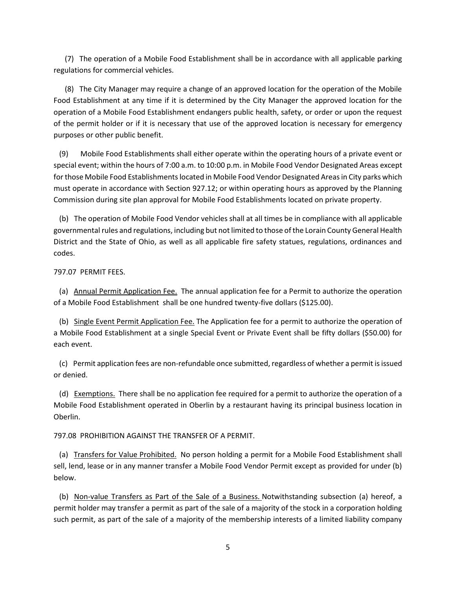(7) The operation of a Mobile Food Establishment shall be in accordance with all applicable parking regulations for commercial vehicles.

 (8) The City Manager may require a change of an approved location for the operation of the Mobile Food Establishment at any time if it is determined by the City Manager the approved location for the operation of a Mobile Food Establishment endangers public health, safety, or order or upon the request of the permit holder or if it is necessary that use of the approved location is necessary for emergency purposes or other public benefit.

 (9) Mobile Food Establishments shall either operate within the operating hours of a private event or special event; within the hours of 7:00 a.m. to 10:00 p.m. in Mobile Food Vendor Designated Areas except for those Mobile Food Establishments located in Mobile Food Vendor Designated Areas in City parks which must operate in accordance with Section 927.12; or within operating hours as approved by the Planning Commission during site plan approval for Mobile Food Establishments located on private property.

 (b) The operation of Mobile Food Vendor vehicles shall at all times be in compliance with all applicable governmental rules and regulations, including but not limited to those of the Lorain County General Health District and the State of Ohio, as well as all applicable fire safety statues, regulations, ordinances and codes.

797.07 PERMIT FEES.

 (a) Annual Permit Application Fee. The annual application fee for a Permit to authorize the operation of a Mobile Food Establishment shall be one hundred twenty-five dollars (\$125.00).

 (b) Single Event Permit Application Fee. The Application fee for a permit to authorize the operation of a Mobile Food Establishment at a single Special Event or Private Event shall be fifty dollars (\$50.00) for each event.

 (c) Permit application fees are non-refundable once submitted, regardless of whether a permit is issued or denied.

 (d) Exemptions. There shall be no application fee required for a permit to authorize the operation of a Mobile Food Establishment operated in Oberlin by a restaurant having its principal business location in Oberlin.

797.08 PROHIBITION AGAINST THE TRANSFER OF A PERMIT.

 (a) Transfers for Value Prohibited. No person holding a permit for a Mobile Food Establishment shall sell, lend, lease or in any manner transfer a Mobile Food Vendor Permit except as provided for under (b) below.

 (b) Non-value Transfers as Part of the Sale of a Business. Notwithstanding subsection (a) hereof, a permit holder may transfer a permit as part of the sale of a majority of the stock in a corporation holding such permit, as part of the sale of a majority of the membership interests of a limited liability company